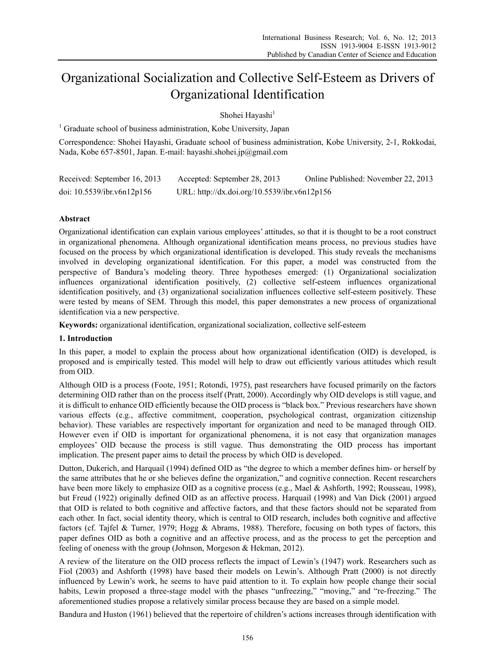# Organizational Socialization and Collective Self-Esteem as Drivers of Organizational Identification

Shohei Hayashi<sup>1</sup>

<sup>1</sup> Graduate school of business administration, Kobe University, Japan

Correspondence: Shohei Hayashi, Graduate school of business administration, Kobe University, 2-1, Rokkodai, Nada, Kobe 657-8501, Japan. E-mail: hayashi.shohei.jp@gmail.com

| Received: September 16, 2013  | Accepted: September 28, 2013                 | Online Published: November 22, 2013 |
|-------------------------------|----------------------------------------------|-------------------------------------|
| doi: $10.5539$ /ibr.v6n12p156 | URL: http://dx.doi.org/10.5539/ibr.v6n12p156 |                                     |

# **Abstract**

Organizational identification can explain various employees' attitudes, so that it is thought to be a root construct in organizational phenomena. Although organizational identification means process, no previous studies have focused on the process by which organizational identification is developed. This study reveals the mechanisms involved in developing organizational identification. For this paper, a model was constructed from the perspective of Bandura's modeling theory. Three hypotheses emerged: (1) Organizational socialization influences organizational identification positively, (2) collective self-esteem influences organizational identification positively, and (3) organizational socialization influences collective self-esteem positively. These were tested by means of SEM. Through this model, this paper demonstrates a new process of organizational identification via a new perspective.

**Keywords:** organizational identification, organizational socialization, collective self-esteem

## **1. Introduction**

In this paper, a model to explain the process about how organizational identification (OID) is developed, is proposed and is empirically tested. This model will help to draw out efficiently various attitudes which result from OID.

Although OID is a process (Foote, 1951; Rotondi, 1975), past researchers have focused primarily on the factors determining OID rather than on the process itself (Pratt, 2000). Accordingly why OID develops is still vague, and it is difficult to enhance OID efficiently because the OID process is "black box." Previous researchers have shown various effects (e.g., affective commitment, cooperation, psychological contrast, organization citizenship behavior). These variables are respectively important for organization and need to be managed through OID. However even if OID is important for organizational phenomena, it is not easy that organization manages employees' OID because the process is still vague. Thus demonstrating the OID process has important implication. The present paper aims to detail the process by which OID is developed.

Dutton, Dukerich, and Harquail (1994) defined OID as "the degree to which a member defines him- or herself by the same attributes that he or she believes define the organization," and cognitive connection. Recent researchers have been more likely to emphasize OID as a cognitive process (e.g., Mael & Ashforth, 1992; Rousseau, 1998), but Freud (1922) originally defined OID as an affective process. Harquail (1998) and Van Dick (2001) argued that OID is related to both cognitive and affective factors, and that these factors should not be separated from each other. In fact, social identity theory, which is central to OID research, includes both cognitive and affective factors (cf. Tajfel & Turner, 1979; Hogg & Abrams, 1988). Therefore, focusing on both types of factors, this paper defines OID as both a cognitive and an affective process, and as the process to get the perception and feeling of oneness with the group (Johnson, Morgeson & Hekman, 2012).

A review of the literature on the OID process reflects the impact of Lewin's (1947) work. Researchers such as Fiol (2003) and Ashforth (1998) have based their models on Lewin's. Although Pratt (2000) is not directly influenced by Lewin's work, he seems to have paid attention to it. To explain how people change their social habits, Lewin proposed a three-stage model with the phases "unfreezing," "moving," and "re-freezing." The aforementioned studies propose a relatively similar process because they are based on a simple model.

Bandura and Huston (1961) believed that the repertoire of children's actions increases through identification with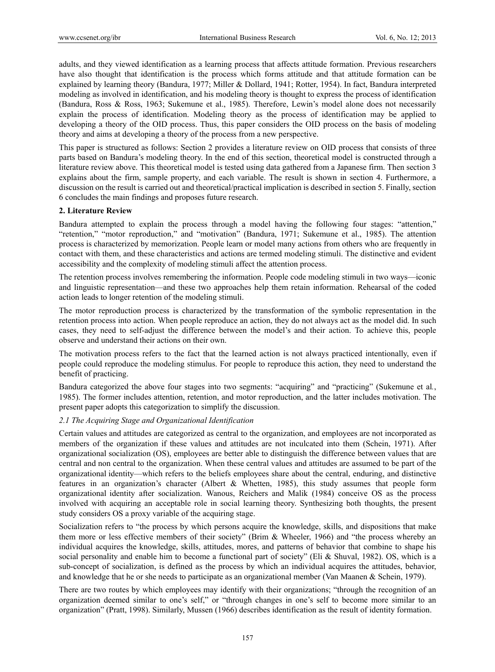adults, and they viewed identification as a learning process that affects attitude formation. Previous researchers have also thought that identification is the process which forms attitude and that attitude formation can be explained by learning theory (Bandura, 1977; Miller & Dollard, 1941; Rotter, 1954). In fact, Bandura interpreted modeling as involved in identification, and his modeling theory is thought to express the process of identification (Bandura, Ross & Ross, 1963; Sukemune et al., 1985). Therefore, Lewin's model alone does not necessarily explain the process of identification. Modeling theory as the process of identification may be applied to developing a theory of the OID process. Thus, this paper considers the OID process on the basis of modeling theory and aims at developing a theory of the process from a new perspective.

This paper is structured as follows: Section 2 provides a literature review on OID process that consists of three parts based on Bandura's modeling theory. In the end of this section, theoretical model is constructed through a literature review above. This theoretical model is tested using data gathered from a Japanese firm. Then section 3 explains about the firm, sample property, and each variable. The result is shown in section 4. Furthermore, a discussion on the result is carried out and theoretical/practical implication is described in section 5. Finally, section 6 concludes the main findings and proposes future research.

## **2. Literature Review**

Bandura attempted to explain the process through a model having the following four stages: "attention," "retention," "motor reproduction," and "motivation" (Bandura, 1971; Sukemune et al., 1985). The attention process is characterized by memorization. People learn or model many actions from others who are frequently in contact with them, and these characteristics and actions are termed modeling stimuli. The distinctive and evident accessibility and the complexity of modeling stimuli affect the attention process.

The retention process involves remembering the information. People code modeling stimuli in two ways—iconic and linguistic representation—and these two approaches help them retain information. Rehearsal of the coded action leads to longer retention of the modeling stimuli.

The motor reproduction process is characterized by the transformation of the symbolic representation in the retention process into action. When people reproduce an action, they do not always act as the model did. In such cases, they need to self-adjust the difference between the model's and their action. To achieve this, people observe and understand their actions on their own.

The motivation process refers to the fact that the learned action is not always practiced intentionally, even if people could reproduce the modeling stimulus. For people to reproduce this action, they need to understand the benefit of practicing.

Bandura categorized the above four stages into two segments: "acquiring" and "practicing" (Sukemune et al*.*, 1985). The former includes attention, retention, and motor reproduction, and the latter includes motivation. The present paper adopts this categorization to simplify the discussion.

## *2.1 The Acquiring Stage and Organizational Identification*

Certain values and attitudes are categorized as central to the organization, and employees are not incorporated as members of the organization if these values and attitudes are not inculcated into them (Schein, 1971). After organizational socialization (OS), employees are better able to distinguish the difference between values that are central and non central to the organization. When these central values and attitudes are assumed to be part of the organizational identity—which refers to the beliefs employees share about the central, enduring, and distinctive features in an organization's character (Albert & Whetten, 1985), this study assumes that people form organizational identity after socialization. Wanous, Reichers and Malik (1984) conceive OS as the process involved with acquiring an acceptable role in social learning theory. Synthesizing both thoughts, the present study considers OS a proxy variable of the acquiring stage.

Socialization refers to "the process by which persons acquire the knowledge, skills, and dispositions that make them more or less effective members of their society" (Brim & Wheeler, 1966) and "the process whereby an individual acquires the knowledge, skills, attitudes, mores, and patterns of behavior that combine to shape his social personality and enable him to become a functional part of society" (Eli & Shuval, 1982). OS, which is a sub-concept of socialization, is defined as the process by which an individual acquires the attitudes, behavior, and knowledge that he or she needs to participate as an organizational member (Van Maanen & Schein, 1979).

There are two routes by which employees may identify with their organizations; "through the recognition of an organization deemed similar to one's self," or "through changes in one's self to become more similar to an organization" (Pratt, 1998). Similarly, Mussen (1966) describes identification as the result of identity formation.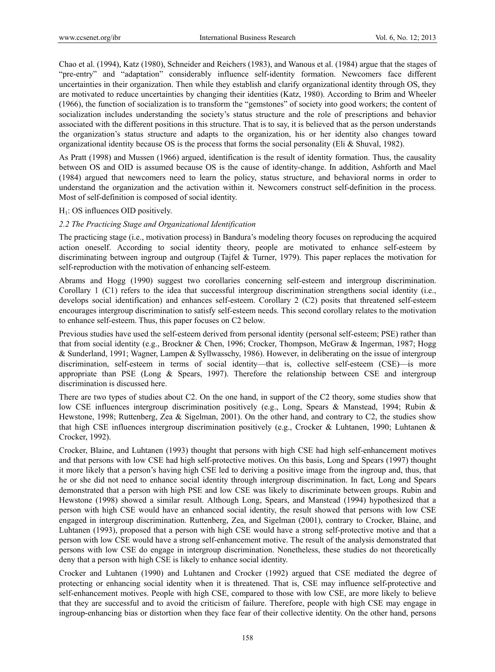Chao et al. (1994), Katz (1980), Schneider and Reichers (1983), and Wanous et al. (1984) argue that the stages of "pre-entry" and "adaptation" considerably influence self-identity formation. Newcomers face different uncertainties in their organization. Then while they establish and clarify organizational identity through OS, they are motivated to reduce uncertainties by changing their identities (Katz, 1980). According to Brim and Wheeler (1966), the function of socialization is to transform the "gemstones" of society into good workers; the content of socialization includes understanding the society's status structure and the role of prescriptions and behavior associated with the different positions in this structure. That is to say, it is believed that as the person understands the organization's status structure and adapts to the organization, his or her identity also changes toward organizational identity because OS is the process that forms the social personality (Eli & Shuval, 1982).

As Pratt (1998) and Mussen (1966) argued, identification is the result of identity formation. Thus, the causality between OS and OID is assumed because OS is the cause of identity-change. In addition, Ashforth and Mael (1984) argued that newcomers need to learn the policy, status structure, and behavioral norms in order to understand the organization and the activation within it. Newcomers construct self-definition in the process. Most of self-definition is composed of social identity.

## $H<sub>1</sub>$ : OS influences OID positively.

## *2.2 The Practicing Stage and Organizational Identification*

The practicing stage (i.e., motivation process) in Bandura's modeling theory focuses on reproducing the acquired action oneself. According to social identity theory, people are motivated to enhance self-esteem by discriminating between ingroup and outgroup (Tajfel & Turner, 1979). This paper replaces the motivation for self-reproduction with the motivation of enhancing self-esteem.

Abrams and Hogg (1990) suggest two corollaries concerning self-esteem and intergroup discrimination. Corollary 1 (C1) refers to the idea that successful intergroup discrimination strengthens social identity (i.e., develops social identification) and enhances self-esteem. Corollary 2 (C2) posits that threatened self-esteem encourages intergroup discrimination to satisfy self-esteem needs. This second corollary relates to the motivation to enhance self-esteem. Thus, this paper focuses on C2 below.

Previous studies have used the self-esteem derived from personal identity (personal self-esteem; PSE) rather than that from social identity (e.g., Brockner & Chen, 1996; Crocker, Thompson, McGraw & Ingerman, 1987; Hogg & Sunderland, 1991; Wagner, Lampen & Syllwasschy, 1986). However, in deliberating on the issue of intergroup discrimination, self-esteem in terms of social identity—that is, collective self-esteem (CSE)—is more appropriate than PSE (Long  $\&$  Spears, 1997). Therefore the relationship between CSE and intergroup discrimination is discussed here.

There are two types of studies about C2. On the one hand, in support of the C2 theory, some studies show that low CSE influences intergroup discrimination positively (e.g., Long, Spears & Manstead, 1994; Rubin & Hewstone, 1998; Ruttenberg, Zea & Sigelman, 2001). On the other hand, and contrary to C2, the studies show that high CSE influences intergroup discrimination positively (e.g., Crocker & Luhtanen, 1990; Luhtanen & Crocker, 1992).

Crocker, Blaine, and Luhtanen (1993) thought that persons with high CSE had high self-enhancement motives and that persons with low CSE had high self-protective motives. On this basis, Long and Spears (1997) thought it more likely that a person's having high CSE led to deriving a positive image from the ingroup and, thus, that he or she did not need to enhance social identity through intergroup discrimination. In fact, Long and Spears demonstrated that a person with high PSE and low CSE was likely to discriminate between groups. Rubin and Hewstone (1998) showed a similar result. Although Long, Spears, and Manstead (1994) hypothesized that a person with high CSE would have an enhanced social identity, the result showed that persons with low CSE engaged in intergroup discrimination. Ruttenberg, Zea, and Sigelman (2001), contrary to Crocker, Blaine, and Luhtanen (1993), proposed that a person with high CSE would have a strong self-protective motive and that a person with low CSE would have a strong self-enhancement motive. The result of the analysis demonstrated that persons with low CSE do engage in intergroup discrimination. Nonetheless, these studies do not theoretically deny that a person with high CSE is likely to enhance social identity.

Crocker and Luhtanen (1990) and Luhtanen and Crocker (1992) argued that CSE mediated the degree of protecting or enhancing social identity when it is threatened. That is, CSE may influence self-protective and self-enhancement motives. People with high CSE, compared to those with low CSE, are more likely to believe that they are successful and to avoid the criticism of failure. Therefore, people with high CSE may engage in ingroup-enhancing bias or distortion when they face fear of their collective identity. On the other hand, persons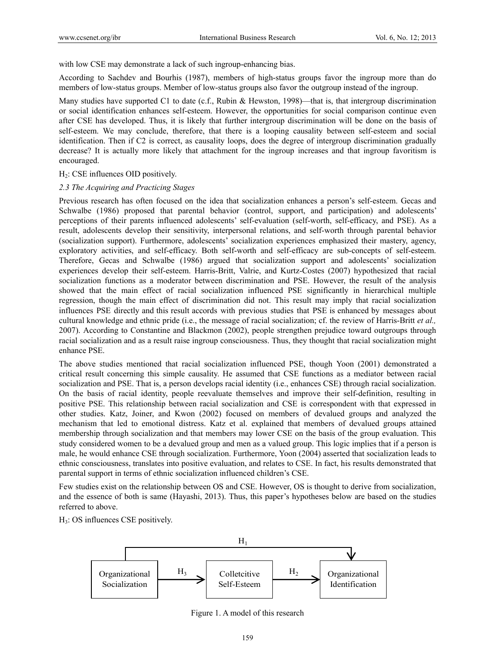with low CSE may demonstrate a lack of such ingroup-enhancing bias.

According to Sachdev and Bourhis (1987), members of high-status groups favor the ingroup more than do members of low-status groups. Member of low-status groups also favor the outgroup instead of the ingroup.

Many studies have supported C1 to date (c.f., Rubin & Hewston, 1998)—that is, that intergroup discrimination or social identification enhances self-esteem. However, the opportunities for social comparison continue even after CSE has developed. Thus, it is likely that further intergroup discrimination will be done on the basis of self-esteem. We may conclude, therefore, that there is a looping causality between self-esteem and social identification. Then if C2 is correct, as causality loops, does the degree of intergroup discrimination gradually decrease? It is actually more likely that attachment for the ingroup increases and that ingroup favoritism is encouraged.

## $H<sub>2</sub>$ : CSE influences OID positively.

#### *2.3 The Acquiring and Practicing Stages*

Previous research has often focused on the idea that socialization enhances a person's self-esteem. Gecas and Schwalbe (1986) proposed that parental behavior (control, support, and participation) and adolescents' perceptions of their parents influenced adolescents' self-evaluation (self-worth, self-efficacy, and PSE). As a result, adolescents develop their sensitivity, interpersonal relations, and self-worth through parental behavior (socialization support). Furthermore, adolescents' socialization experiences emphasized their mastery, agency, exploratory activities, and self-efficacy. Both self-worth and self-efficacy are sub-concepts of self-esteem. Therefore, Gecas and Schwalbe (1986) argued that socialization support and adolescents' socialization experiences develop their self-esteem. Harris-Britt, Valrie, and Kurtz-Costes (2007) hypothesized that racial socialization functions as a moderator between discrimination and PSE. However, the result of the analysis showed that the main effect of racial socialization influenced PSE significantly in hierarchical multiple regression, though the main effect of discrimination did not. This result may imply that racial socialization influences PSE directly and this result accords with previous studies that PSE is enhanced by messages about cultural knowledge and ethnic pride (i.e., the message of racial socialization; cf. the review of Harris-Britt *et al.,* 2007). According to Constantine and Blackmon (2002), people strengthen prejudice toward outgroups through racial socialization and as a result raise ingroup consciousness. Thus, they thought that racial socialization might enhance PSE.

The above studies mentioned that racial socialization influenced PSE, though Yoon (2001) demonstrated a critical result concerning this simple causality. He assumed that CSE functions as a mediator between racial socialization and PSE. That is, a person develops racial identity (i.e., enhances CSE) through racial socialization. On the basis of racial identity, people reevaluate themselves and improve their self-definition, resulting in positive PSE. This relationship between racial socialization and CSE is correspondent with that expressed in other studies. Katz, Joiner, and Kwon (2002) focused on members of devalued groups and analyzed the mechanism that led to emotional distress. Katz et al. explained that members of devalued groups attained membership through socialization and that members may lower CSE on the basis of the group evaluation. This study considered women to be a devalued group and men as a valued group. This logic implies that if a person is male, he would enhance CSE through socialization. Furthermore, Yoon (2004) asserted that socialization leads to ethnic consciousness, translates into positive evaluation, and relates to CSE. In fact, his results demonstrated that parental support in terms of ethnic socialization influenced children's CSE.

Few studies exist on the relationship between OS and CSE. However, OS is thought to derive from socialization, and the essence of both is same (Hayashi, 2013). Thus, this paper's hypotheses below are based on the studies referred to above.

H3: OS influences CSE positively.



Figure 1. A model of this research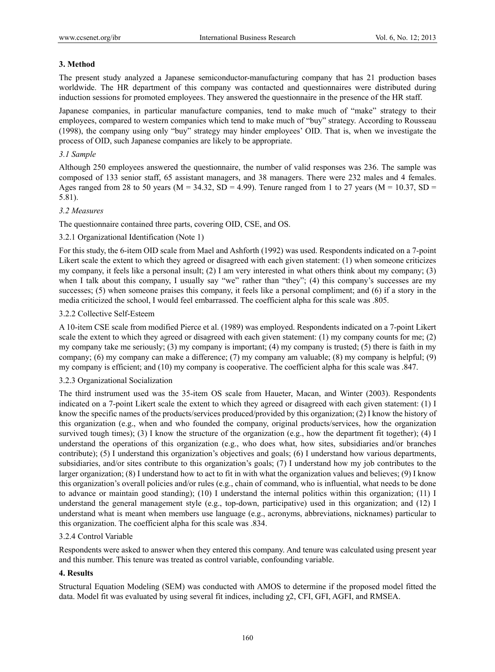## **3. Method**

The present study analyzed a Japanese semiconductor-manufacturing company that has 21 production bases worldwide. The HR department of this company was contacted and questionnaires were distributed during induction sessions for promoted employees. They answered the questionnaire in the presence of the HR staff.

Japanese companies, in particular manufacture companies, tend to make much of "make" strategy to their employees, compared to western companies which tend to make much of "buy" strategy. According to Rousseau (1998), the company using only "buy" strategy may hinder employees' OID. That is, when we investigate the process of OID, such Japanese companies are likely to be appropriate.

## *3.1 Sample*

Although 250 employees answered the questionnaire, the number of valid responses was 236. The sample was composed of 133 senior staff, 65 assistant managers, and 38 managers. There were 232 males and 4 females. Ages ranged from 28 to 50 years ( $M = 34.32$ ,  $SD = 4.99$ ). Tenure ranged from 1 to 27 years ( $M = 10.37$ ,  $SD = 10.37$ 5.81).

## *3.2 Measures*

The questionnaire contained three parts, covering OID, CSE, and OS.

## 3.2.1 Organizational Identification (Note 1)

For this study, the 6-item OID scale from Mael and Ashforth (1992) was used. Respondents indicated on a 7-point Likert scale the extent to which they agreed or disagreed with each given statement: (1) when someone criticizes my company, it feels like a personal insult; (2) I am very interested in what others think about my company; (3) when I talk about this company, I usually say "we" rather than "they"; (4) this company's successes are my successes; (5) when someone praises this company, it feels like a personal compliment; and (6) if a story in the media criticized the school, I would feel embarrassed. The coefficient alpha for this scale was .805.

## 3.2.2 Collective Self-Esteem

A 10-item CSE scale from modified Pierce et al. (1989) was employed. Respondents indicated on a 7-point Likert scale the extent to which they agreed or disagreed with each given statement: (1) my company counts for me; (2) my company take me seriously; (3) my company is important; (4) my company is trusted; (5) there is faith in my company; (6) my company can make a difference; (7) my company am valuable; (8) my company is helpful; (9) my company is efficient; and (10) my company is cooperative. The coefficient alpha for this scale was .847.

## 3.2.3 Organizational Socialization

The third instrument used was the 35-item OS scale from Haueter, Macan, and Winter (2003). Respondents indicated on a 7-point Likert scale the extent to which they agreed or disagreed with each given statement: (1) I know the specific names of the products/services produced/provided by this organization; (2) I know the history of this organization (e.g., when and who founded the company, original products/services, how the organization survived tough times); (3) I know the structure of the organization (e.g., how the department fit together); (4) I understand the operations of this organization (e.g., who does what, how sites, subsidiaries and/or branches contribute); (5) I understand this organization's objectives and goals; (6) I understand how various departments, subsidiaries, and/or sites contribute to this organization's goals; (7) I understand how my job contributes to the larger organization; (8) I understand how to act to fit in with what the organization values and believes; (9) I know this organization's overall policies and/or rules (e.g., chain of command, who is influential, what needs to be done to advance or maintain good standing); (10) I understand the internal politics within this organization; (11) I understand the general management style (e.g., top-down, participative) used in this organization; and (12) I understand what is meant when members use language (e.g., acronyms, abbreviations, nicknames) particular to this organization. The coefficient alpha for this scale was .834.

## 3.2.4 Control Variable

Respondents were asked to answer when they entered this company. And tenure was calculated using present year and this number. This tenure was treated as control variable, confounding variable.

## **4. Results**

Structural Equation Modeling (SEM) was conducted with AMOS to determine if the proposed model fitted the data. Model fit was evaluated by using several fit indices, including  $\chi$ 2, CFI, GFI, AGFI, and RMSEA.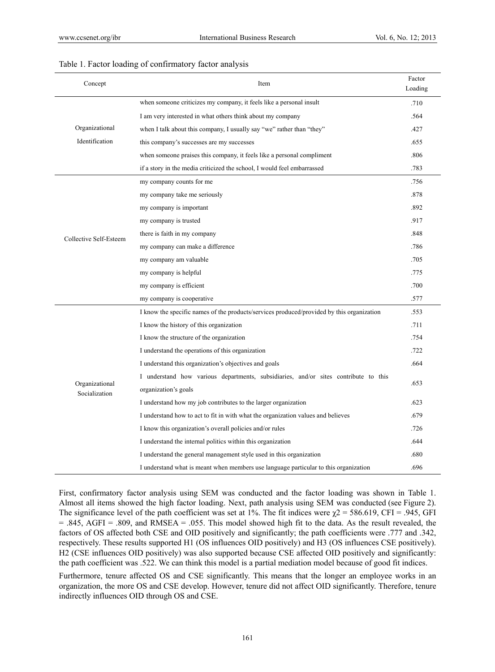| Concept                          | Item                                                                                                        | Factor<br>Loading |
|----------------------------------|-------------------------------------------------------------------------------------------------------------|-------------------|
| Organizational<br>Identification | when some one criticizes my company, it feels like a personal insult                                        |                   |
|                                  | I am very interested in what others think about my company                                                  |                   |
|                                  | when I talk about this company, I usually say "we" rather than "they"                                       |                   |
|                                  | this company's successes are my successes                                                                   |                   |
|                                  | when someone praises this company, it feels like a personal compliment                                      |                   |
|                                  | if a story in the media criticized the school, I would feel embarrassed                                     |                   |
| Collective Self-Esteem           | my company counts for me                                                                                    | .756              |
|                                  | my company take me seriously                                                                                |                   |
|                                  | my company is important                                                                                     |                   |
|                                  | my company is trusted                                                                                       | .917              |
|                                  | there is faith in my company                                                                                | .848              |
|                                  | my company can make a difference                                                                            | .786              |
|                                  | my company am valuable                                                                                      | .705              |
|                                  | my company is helpful                                                                                       | .775              |
|                                  | my company is efficient                                                                                     | .700              |
|                                  | my company is cooperative                                                                                   | .577              |
|                                  | I know the specific names of the products/services produced/provided by this organization                   | .553              |
| Organizational<br>Socialization  | I know the history of this organization                                                                     | .711              |
|                                  | I know the structure of the organization                                                                    | .754              |
|                                  | I understand the operations of this organization                                                            | .722              |
|                                  | I understand this organization's objectives and goals                                                       | .664              |
|                                  | I understand how various departments, subsidiaries, and/or sites contribute to this<br>organization's goals |                   |
|                                  |                                                                                                             |                   |
|                                  | I understand how to act to fit in with what the organization values and believes                            | .679              |
|                                  | I know this organization's overall policies and/or rules                                                    |                   |
|                                  | I understand the internal politics within this organization                                                 |                   |
|                                  | I understand the general management style used in this organization                                         |                   |
|                                  | I understand what is meant when members use language particular to this organization                        | .696              |

## Table 1. Factor loading of confirmatory factor analysis

First, confirmatory factor analysis using SEM was conducted and the factor loading was shown in Table 1. Almost all items showed the high factor loading. Next, path analysis using SEM was conducted (see Figure 2). The significance level of the path coefficient was set at 1%. The fit indices were  $\chi$ 2 = 586.619, CFI = .945, GFI  $= .845, AGFI = .809, and RMSEA = .055. This model showed high fit to the data. As the result revealed, the$ factors of OS affected both CSE and OID positively and significantly; the path coefficients were .777 and .342, respectively. These results supported H1 (OS influences OID positively) and H3 (OS influences CSE positively). H2 (CSE influences OID positively) was also supported because CSE affected OID positively and significantly: the path coefficient was .522. We can think this model is a partial mediation model because of good fit indices.

Furthermore, tenure affected OS and CSE significantly. This means that the longer an employee works in an organization, the more OS and CSE develop. However, tenure did not affect OID significantly. Therefore, tenure indirectly influences OID through OS and CSE.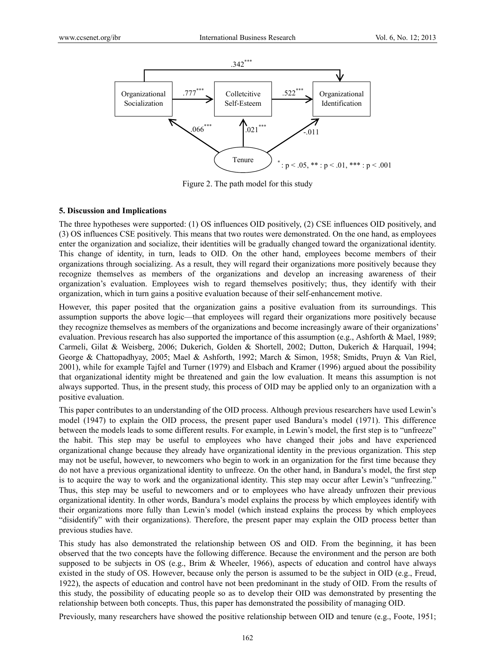

Figure 2. The path model for this study

## **5. Discussion and Implications**

The three hypotheses were supported: (1) OS influences OID positively, (2) CSE influences OID positively, and (3) OS influences CSE positively. This means that two routes were demonstrated. On the one hand, as employees enter the organization and socialize, their identities will be gradually changed toward the organizational identity. This change of identity, in turn, leads to OID. On the other hand, employees become members of their organizations through socializing. As a result, they will regard their organizations more positively because they recognize themselves as members of the organizations and develop an increasing awareness of their organization's evaluation. Employees wish to regard themselves positively; thus, they identify with their organization, which in turn gains a positive evaluation because of their self-enhancement motive.

However, this paper posited that the organization gains a positive evaluation from its surroundings. This assumption supports the above logic—that employees will regard their organizations more positively because they recognize themselves as members of the organizations and become increasingly aware of their organizations' evaluation. Previous research has also supported the importance of this assumption (e.g., Ashforth & Mael, 1989; Carmeli, Gilat & Weisberg, 2006; Dukerich, Golden & Shortell, 2002; Dutton, Dukerich & Harquail, 1994; George & Chattopadhyay, 2005; Mael & Ashforth, 1992; March & Simon, 1958; Smidts, Pruyn & Van Riel, 2001), while for example Tajfel and Turner (1979) and Elsbach and Kramer (1996) argued about the possibility that organizational identity might be threatened and gain the low evaluation. It means this assumption is not always supported. Thus, in the present study, this process of OID may be applied only to an organization with a positive evaluation.

This paper contributes to an understanding of the OID process. Although previous researchers have used Lewin's model (1947) to explain the OID process, the present paper used Bandura's model (1971). This difference between the models leads to some different results. For example, in Lewin's model, the first step is to "unfreeze" the habit. This step may be useful to employees who have changed their jobs and have experienced organizational change because they already have organizational identity in the previous organization. This step may not be useful, however, to newcomers who begin to work in an organization for the first time because they do not have a previous organizational identity to unfreeze. On the other hand, in Bandura's model, the first step is to acquire the way to work and the organizational identity. This step may occur after Lewin's "unfreezing." Thus, this step may be useful to newcomers and or to employees who have already unfrozen their previous organizational identity. In other words, Bandura's model explains the process by which employees identify with their organizations more fully than Lewin's model (which instead explains the process by which employees "disidentify" with their organizations). Therefore, the present paper may explain the OID process better than previous studies have.

This study has also demonstrated the relationship between OS and OID. From the beginning, it has been observed that the two concepts have the following difference. Because the environment and the person are both supposed to be subjects in OS (e.g., Brim & Wheeler, 1966), aspects of education and control have always existed in the study of OS. However, because only the person is assumed to be the subject in OID (e.g., Freud, 1922), the aspects of education and control have not been predominant in the study of OID. From the results of this study, the possibility of educating people so as to develop their OID was demonstrated by presenting the relationship between both concepts. Thus, this paper has demonstrated the possibility of managing OID.

Previously, many researchers have showed the positive relationship between OID and tenure (e.g., Foote, 1951;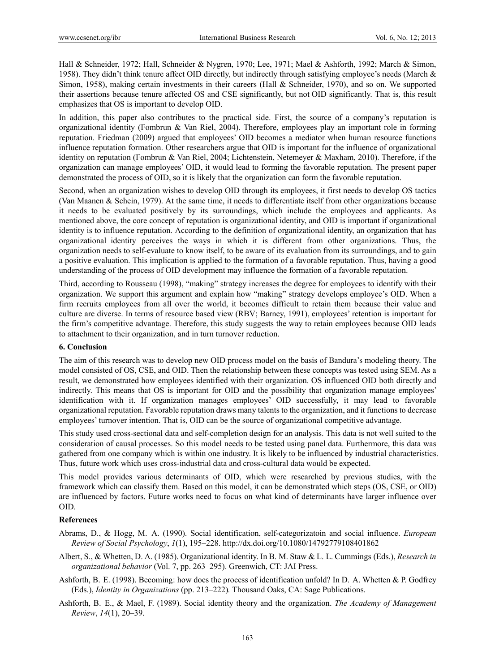Hall & Schneider, 1972; Hall, Schneider & Nygren, 1970; Lee, 1971; Mael & Ashforth, 1992; March & Simon, 1958). They didn't think tenure affect OID directly, but indirectly through satisfying employee's needs (March & Simon, 1958), making certain investments in their careers (Hall & Schneider, 1970), and so on. We supported their assertions because tenure affected OS and CSE significantly, but not OID significantly. That is, this result emphasizes that OS is important to develop OID.

In addition, this paper also contributes to the practical side. First, the source of a company's reputation is organizational identity (Fombrun & Van Riel, 2004). Therefore, employees play an important role in forming reputation. Friedman (2009) argued that employees' OID becomes a mediator when human resource functions influence reputation formation. Other researchers argue that OID is important for the influence of organizational identity on reputation (Fombrun & Van Riel, 2004; Lichtenstein, Netemeyer & Maxham, 2010). Therefore, if the organization can manage employees' OID, it would lead to forming the favorable reputation. The present paper demonstrated the process of OID, so it is likely that the organization can form the favorable reputation.

Second, when an organization wishes to develop OID through its employees, it first needs to develop OS tactics (Van Maanen & Schein, 1979). At the same time, it needs to differentiate itself from other organizations because it needs to be evaluated positively by its surroundings, which include the employees and applicants. As mentioned above, the core concept of reputation is organizational identity, and OID is important if organizational identity is to influence reputation. According to the definition of organizational identity, an organization that has organizational identity perceives the ways in which it is different from other organizations. Thus, the organization needs to self-evaluate to know itself, to be aware of its evaluation from its surroundings, and to gain a positive evaluation. This implication is applied to the formation of a favorable reputation. Thus, having a good understanding of the process of OID development may influence the formation of a favorable reputation.

Third, according to Rousseau (1998), "making" strategy increases the degree for employees to identify with their organization. We support this argument and explain how "making" strategy develops employee's OID. When a firm recruits employees from all over the world, it becomes difficult to retain them because their value and culture are diverse. In terms of resource based view (RBV; Barney, 1991), employees' retention is important for the firm's competitive advantage. Therefore, this study suggests the way to retain employees because OID leads to attachment to their organization, and in turn turnover reduction.

# **6. Conclusion**

The aim of this research was to develop new OID process model on the basis of Bandura's modeling theory. The model consisted of OS, CSE, and OID. Then the relationship between these concepts was tested using SEM. As a result, we demonstrated how employees identified with their organization. OS influenced OID both directly and indirectly. This means that OS is important for OID and the possibility that organization manage employees' identification with it. If organization manages employees' OID successfully, it may lead to favorable organizational reputation. Favorable reputation draws many talents to the organization, and it functions to decrease employees' turnover intention. That is, OID can be the source of organizational competitive advantage.

This study used cross-sectional data and self-completion design for an analysis. This data is not well suited to the consideration of causal processes. So this model needs to be tested using panel data. Furthermore, this data was gathered from one company which is within one industry. It is likely to be influenced by industrial characteristics. Thus, future work which uses cross-industrial data and cross-cultural data would be expected.

This model provides various determinants of OID, which were researched by previous studies, with the framework which can classify them. Based on this model, it can be demonstrated which steps (OS, CSE, or OID) are influenced by factors. Future works need to focus on what kind of determinants have larger influence over OID.

# **References**

- Abrams, D., & Hogg, M. A. (1990). Social identification, self-categorizatoin and social influence. *European Review of Social Psychology*, *1*(1), 195–228. http://dx.doi.org/10.1080/14792779108401862
- Albert, S., & Whetten, D. A. (1985). Organizational identity. In B. M. Staw & L. L. Cummings (Eds.), *Research in organizational behavior* (Vol. 7, pp. 263–295). Greenwich, CT: JAI Press.
- Ashforth, B. E. (1998). Becoming: how does the process of identification unfold? In D. A. Whetten & P. Godfrey (Eds.), *Identity in Organizations* (pp. 213–222)*.* Thousand Oaks, CA: Sage Publications.
- Ashforth, B. E., & Mael, F. (1989). Social identity theory and the organization. *The Academy of Management Review*, *14*(1), 20–39.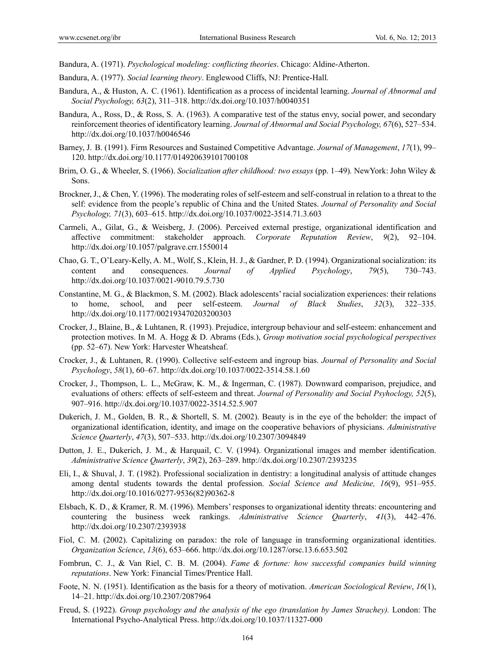Bandura, A. (1971). *Psychological modeling: conflicting theories*. Chicago: Aldine-Atherton.

- Bandura, A. (1977). *Social learning theory*. Englewood Cliffs, NJ: Prentice-Hall.
- Bandura, A., & Huston, A. C. (1961). Identification as a process of incidental learning. *Journal of Abnormal and Social Psychology, 63*(2), 311–318. http://dx.doi.org/10.1037/h0040351
- Bandura, A., Ross, D., & Ross, S. A. (1963). A comparative test of the status envy, social power, and secondary reinforcement theories of identificatory learning. *Journal of Abnormal and Social Psychology, 67*(6), 527–534. http://dx.doi.org/10.1037/h0046546
- Barney, J. B. (1991). Firm Resources and Sustained Competitive Advantage. *Journal of Management*, *17*(1), 99– 120. http://dx.doi.org/10.1177/014920639101700108
- Brim, O. G., & Wheeler, S. (1966). *Socialization after childhood: two essays* (pp. 1–49)*.* NewYork: John Wiley & Sons.
- Brockner, J., & Chen, Y. (1996). The moderating roles of self-esteem and self-construal in relation to a threat to the self: evidence from the people's republic of China and the United States. *Journal of Personality and Social Psychology, 71*(3), 603–615. http://dx.doi.org/10.1037/0022-3514.71.3.603
- Carmeli, A., Gilat, G., & Weisberg, J. (2006). Perceived external prestige, organizational identification and affective commitment: stakeholder approach. *Corporate Reputation Review*, *9*(2), 92–104. http://dx.doi.org/10.1057/palgrave.crr.1550014
- Chao, G. T., O'Leary-Kelly, A. M., Wolf, S., Klein, H. J., & Gardner, P. D. (1994). Organizational socialization: its content and consequences. *Journal of Applied Psychology*, *79*(5), 730–743. http://dx.doi.org/10.1037/0021-9010.79.5.730
- Constantine, M. G., & Blackmon, S. M. (2002). Black adolescents' racial socialization experiences: their relations to home, school, and peer self-esteem. *Journal of Black Studies*, *32*(3), 322–335. http://dx.doi.org/10.1177/002193470203200303
- Crocker, J., Blaine, B., & Luhtanen, R. (1993). Prejudice, intergroup behaviour and self-esteem: enhancement and protection motives. In M. A. Hogg & D. Abrams (Eds.), *Group motivation social psychological perspectives* (pp. 52–67). New York: Harvester Wheatsheaf.
- Crocker, J., & Luhtanen, R. (1990). Collective self-esteem and ingroup bias. *Journal of Personality and Social Psychology*, *58*(1), 60–67. http://dx.doi.org/10.1037/0022-3514.58.1.60
- Crocker, J., Thompson, L. L., McGraw, K. M., & Ingerman, C. (1987). Downward comparison, prejudice, and evaluations of others: effects of self-esteem and threat. *Journal of Personality and Social Psyhoclogy, 52*(5), 907–916. http://dx.doi.org/10.1037/0022-3514.52.5.907
- Dukerich, J. M., Golden, B. R., & Shortell, S. M. (2002). Beauty is in the eye of the beholder: the impact of organizational identification, identity, and image on the cooperative behaviors of physicians. *Administrative Science Quarterly*, *47*(3), 507–533. http://dx.doi.org/10.2307/3094849
- Dutton, J. E., Dukerich, J. M., & Harquail, C. V. (1994). Organizational images and member identification. *Administrative Science Quarterly*, *39*(2), 263–289. http://dx.doi.org/10.2307/2393235
- Eli, I., & Shuval, J. T. (1982). Professional socialization in dentistry: a longitudinal analysis of attitude changes among dental students towards the dental profession. *Social Science and Medicine, 16*(9), 951–955. http://dx.doi.org/10.1016/0277-9536(82)90362-8
- Elsbach, K. D., & Kramer, R. M. (1996). Members' responses to organizational identity threats: encountering and countering the business week rankings. *Administrative Science Quarterly*, *41*(3), 442–476. http://dx.doi.org/10.2307/2393938
- Fiol, C. M. (2002). Capitalizing on paradox: the role of language in transforming organizational identities. *Organization Science*, *13*(6), 653–666. http://dx.doi.org/10.1287/orsc.13.6.653.502
- Fombrun, C. J., & Van Riel, C. B. M. (2004). *Fame & fortune: how successful companies build winning reputations*. New York: Financial Times/Prentice Hall.
- Foote, N. N. (1951). Identification as the basis for a theory of motivation. *American Sociological Review*, *16*(1), 14–21. http://dx.doi.org/10.2307/2087964
- Freud, S. (1922). *Group psychology and the analysis of the ego (translation by James Strachey).* London: The International Psycho-Analytical Press. http://dx.doi.org/10.1037/11327-000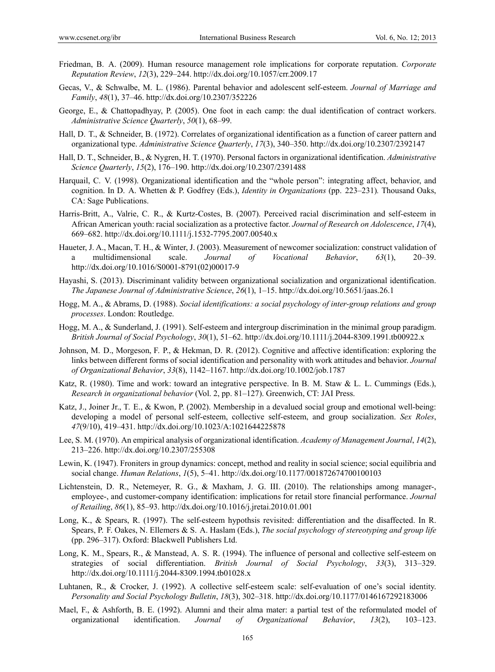- Friedman, B. A. (2009). Human resource management role implications for corporate reputation. *Corporate Reputation Review*, *12*(3), 229–244. http://dx.doi.org/10.1057/crr.2009.17
- Gecas, V., & Schwalbe, M. L. (1986). Parental behavior and adolescent self-esteem. *Journal of Marriage and Family*, *48*(1), 37–46. http://dx.doi.org/10.2307/352226
- George, E., & Chattopadhyay, P. (2005). One foot in each camp: the dual identification of contract workers. *Administrative Science Quarterly*, *50*(1), 68–99.
- Hall, D. T., & Schneider, B. (1972). Correlates of organizational identification as a function of career pattern and organizational type. *Administrative Science Quarterly*, *17*(3), 340–350. http://dx.doi.org/10.2307/2392147
- Hall, D. T., Schneider, B., & Nygren, H. T. (1970). Personal factors in organizational identification. *Administrative Science Quarterly*, *15*(2), 176–190. http://dx.doi.org/10.2307/2391488
- Harquail, C. V. (1998). Organizational identification and the "whole person": integrating affect, behavior, and cognition. In D. A. Whetten & P. Godfrey (Eds.), *Identity in Organizations* (pp. 223–231)*.* Thousand Oaks, CA: Sage Publications.
- Harris-Britt, A., Valrie, C. R., & Kurtz-Costes, B. (2007). Perceived racial discrimination and self-esteem in African American youth: racial socialization as a protective factor. *Journal of Research on Adolescence*, *17*(4), 669–682. http://dx.doi.org/10.1111/j.1532-7795.2007.00540.x
- Haueter, J. A., Macan, T. H., & Winter, J. (2003). Measurement of newcomer socialization: construct validation of a multidimensional scale. *Journal of Vocational Behavior*, *63*(1), 20–39. http://dx.doi.org/10.1016/S0001-8791(02)00017-9
- Hayashi, S. (2013). Discriminant validity between organizational socialization and organizational identification. *The Japanese Journal of Administrative Science*, *26*(1), 1–15. http://dx.doi.org/10.5651/jaas.26.1
- Hogg, M. A., & Abrams, D. (1988). *Social identifications: a social psychology of inter-group relations and group processes*. London: Routledge.
- Hogg, M. A., & Sunderland, J. (1991). Self-esteem and intergroup discrimination in the minimal group paradigm. *British Journal of Social Psychology*, *30*(1), 51–62. http://dx.doi.org/10.1111/j.2044-8309.1991.tb00922.x
- Johnson, M. D., Morgeson, F. P., & Hekman, D. R. (2012). Cognitive and affective identification: exploring the links between different forms of social identification and personality with work attitudes and behavior. *Journal of Organizational Behavior*, *33*(8), 1142–1167. http://dx.doi.org/10.1002/job.1787
- Katz, R. (1980). Time and work: toward an integrative perspective. In B. M. Staw & L. L. Cummings (Eds.), *Research in organizational behavior* (Vol. 2, pp. 81–127). Greenwich, CT: JAI Press.
- Katz, J., Joiner Jr., T. E., & Kwon, P. (2002). Membership in a devalued social group and emotional well-being: developing a model of personal self-esteem, collective self-esteem, and group socialization. *Sex Roles*, *47*(9/10), 419–431. http://dx.doi.org/10.1023/A:1021644225878
- Lee, S. M. (1970). An empirical analysis of organizational identification. *Academy of Management Journal*, *14*(2), 213–226. http://dx.doi.org/10.2307/255308
- Lewin, K. (1947). Froniters in group dynamics: concept, method and reality in social science; social equilibria and social change. *Human Relations*, *1*(5), 5–41. http://dx.doi.org/10.1177/001872674700100103
- Lichtenstein, D. R., Netemeyer, R. G., & Maxham, J. G. III. (2010). The relationships among manager-, employee-, and customer-company identification: implications for retail store financial performance. *Journal of Retailing*, *86*(1), 85–93. http://dx.doi.org/10.1016/j.jretai.2010.01.001
- Long, K., & Spears, R. (1997). The self-esteem hypothsis revisited: differentiation and the disaffected. In R. Spears, P. F. Oakes, N. Ellemers & S. A. Haslam (Eds.), *The social psychology of stereotyping and group life* (pp. 296–317). Oxford: Blackwell Publishers Ltd.
- Long, K. M., Spears, R., & Manstead, A. S. R. (1994). The influence of personal and collective self-esteem on strategies of social differentiation. *British Journal of Social Psychology*, *33*(3), 313–329. http://dx.doi.org/10.1111/j.2044-8309.1994.tb01028.x
- Luhtanen, R., & Crocker, J. (1992). A collective self-esteem scale: self-evaluation of one's social identity. *Personality and Social Psychology Bulletin*, *18*(3), 302–318. http://dx.doi.org/10.1177/0146167292183006
- Mael, F., & Ashforth, B. E. (1992). Alumni and their alma mater: a partial test of the reformulated model of organizational identification. *Journal of Organizational Behavior*, *13*(2), 103–123.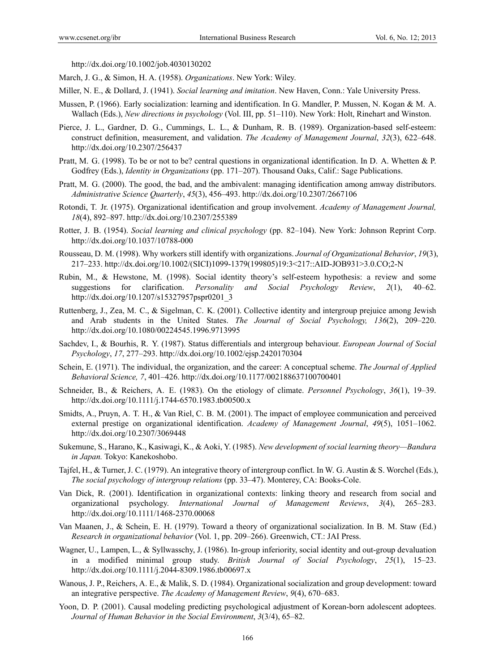http://dx.doi.org/10.1002/job.4030130202

- March, J. G., & Simon, H. A. (1958). *Organizations*. New York: Wiley.
- Miller, N. E., & Dollard, J. (1941). *Social learning and imitation*. New Haven, Conn.: Yale University Press.
- Mussen, P. (1966). Early socialization: learning and identification. In G. Mandler, P. Mussen, N. Kogan & M. A. Wallach (Eds.), *New directions in psychology* (Vol. III, pp. 51–110). New York: Holt, Rinehart and Winston.
- Pierce, J. L., Gardner, D. G., Cummings, L. L., & Dunham, R. B. (1989). Organization-based self-esteem: construct definition, measurement, and validation. *The Academy of Management Journal*, *32*(3), 622–648. http://dx.doi.org/10.2307/256437
- Pratt, M. G. (1998). To be or not to be? central questions in organizational identification. In D. A. Whetten & P. Godfrey (Eds.), *Identity in Organizations* (pp. 171–207). Thousand Oaks, Calif.: Sage Publications.
- Pratt, M. G. (2000). The good, the bad, and the ambivalent: managing identification among amway distributors. *Administrative Science Quarterly*, *45*(3), 456–493. http://dx.doi.org/10.2307/2667106
- Rotondi, T. Jr. (1975). Organizational identification and group involvement. *Academy of Management Journal, 18*(4), 892–897. http://dx.doi.org/10.2307/255389
- Rotter, J. B. (1954). *Social learning and clinical psychology* (pp. 82–104). New York: Johnson Reprint Corp. http://dx.doi.org/10.1037/10788-000
- Rousseau, D. M. (1998). Why workers still identify with organizations. *Journal of Organizational Behavior*, *19*(3), 217–233. http://dx.doi.org/10.1002/(SICI)1099-1379(199805)19:3<217::AID-JOB931>3.0.CO;2-N
- Rubin, M., & Hewstone, M. (1998). Social identity theory's self-esteem hypothesis: a review and some suggestions for clarification. *Personality and Social Psychology Review*, *2*(1), 40–62. http://dx.doi.org/10.1207/s15327957pspr0201\_3
- Ruttenberg, J., Zea, M. C., & Sigelman, C. K. (2001). Collective identity and intergroup prejuice among Jewish and Arab students in the United States. *The Journal of Social Psychology, 136*(2), 209–220. http://dx.doi.org/10.1080/00224545.1996.9713995
- Sachdev, I., & Bourhis, R. Y. (1987). Status differentials and intergroup behaviour. *European Journal of Social Psychology*, *17*, 277–293. http://dx.doi.org/10.1002/ejsp.2420170304
- Schein, E. (1971). The individual, the organization, and the career: A conceptual scheme. *The Journal of Applied Behavioral Science, 7*, 401–426. http://dx.doi.org/10.1177/002188637100700401
- Schneider, B., & Reichers, A. E. (1983). On the etiology of climate. *Personnel Psychology*, *36*(1), 19–39. http://dx.doi.org/10.1111/j.1744-6570.1983.tb00500.x
- Smidts, A., Pruyn, A. T. H., & Van Riel, C. B. M. (2001). The impact of employee communication and perceived external prestige on organizational identification. *Academy of Management Journal*, *49*(5), 1051–1062. http://dx.doi.org/10.2307/3069448
- Sukemune, S., Harano, K., Kasiwagi, K., & Aoki, Y. (1985). *New development of social learning theory—Bandura in Japan.* Tokyo: Kanekoshobo.
- Tajfel, H., & Turner, J. C. (1979). An integrative theory of intergroup conflict. In W. G. Austin & S. Worchel (Eds.), *The social psychology of intergroup relations* (pp. 33–47). Monterey, CA: Books-Cole.
- Van Dick, R. (2001). Identification in organizational contexts: linking theory and research from social and organizational psychology. *International Journal of Management Reviews*, *3*(4), 265–283. http://dx.doi.org/10.1111/1468-2370.00068
- Van Maanen, J., & Schein, E. H. (1979). Toward a theory of organizational socialization. In B. M. Staw (Ed.) *Research in organizational behavior* (Vol. 1, pp. 209–266). Greenwich, CT.: JAI Press.
- Wagner, U., Lampen, L., & Syllwasschy, J. (1986). In-group inferiority, social identity and out-group devaluation in a modified minimal group study. *British Journal of Social Psychology*, *25*(1), 15–23. http://dx.doi.org/10.1111/j.2044-8309.1986.tb00697.x
- Wanous, J. P., Reichers, A. E., & Malik, S. D. (1984). Organizational socialization and group development: toward an integrative perspective. *The Academy of Management Review*, *9*(4), 670–683.
- Yoon, D. P. (2001). Causal modeling predicting psychological adjustment of Korean-born adolescent adoptees. *Journal of Human Behavior in the Social Environment*, *3*(3/4), 65–82.